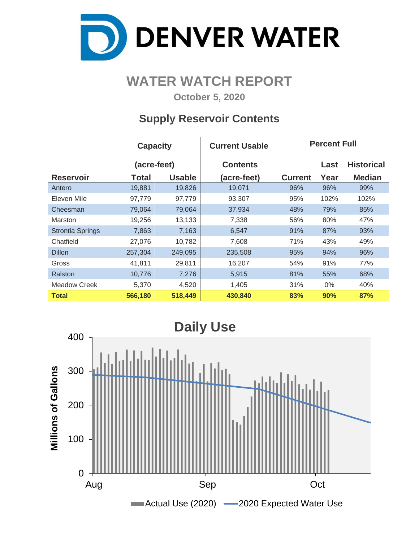

### **WATER WATCH REPORT**

**October 5, 2020**

#### **Supply Reservoir Contents**

 $\mathbf{I}$ 

 $\overline{1}$ 

|                         | <b>Capacity</b> |               | <b>Current Usable</b> | <b>Percent Full</b> |       |                   |  |  |  |
|-------------------------|-----------------|---------------|-----------------------|---------------------|-------|-------------------|--|--|--|
|                         | (acre-feet)     |               | <b>Contents</b>       |                     | Last  | <b>Historical</b> |  |  |  |
| <b>Reservoir</b>        | Total           | <b>Usable</b> | (acre-feet)           | <b>Current</b>      | Year  | <b>Median</b>     |  |  |  |
| Antero                  | 19,881          | 19,826        | 19,071                | 96%                 | 96%   | 99%               |  |  |  |
| Eleven Mile             | 97,779          | 97,779        | 93,307                | 95%                 | 102%  | 102%              |  |  |  |
| Cheesman                | 79,064          | 79,064        | 37,934                | 48%                 | 79%   | 85%               |  |  |  |
| <b>Marston</b>          | 19,256          | 13,133        | 7,338                 | 56%                 | 80%   | 47%               |  |  |  |
| <b>Strontia Springs</b> | 7,863           | 7,163         | 6,547                 | 91%                 | 87%   | 93%               |  |  |  |
| Chatfield               | 27,076          | 10,782        | 7,608                 | 71%                 | 43%   | 49%               |  |  |  |
| <b>Dillon</b>           | 257,304         | 249,095       | 235,508               | 95%                 | 94%   | 96%               |  |  |  |
| Gross                   | 41,811          | 29,811        | 16,207                | 54%                 | 91%   | 77%               |  |  |  |
| Ralston                 | 10,776          | 7,276         | 5,915                 | 81%                 | 55%   | 68%               |  |  |  |
| Meadow Creek            | 5,370           | 4,520         | 1,405                 | 31%                 | $0\%$ | 40%               |  |  |  |
| <b>Total</b>            | 566,180         | 518,449       | 430,840               | 83%                 | 90%   | 87%               |  |  |  |

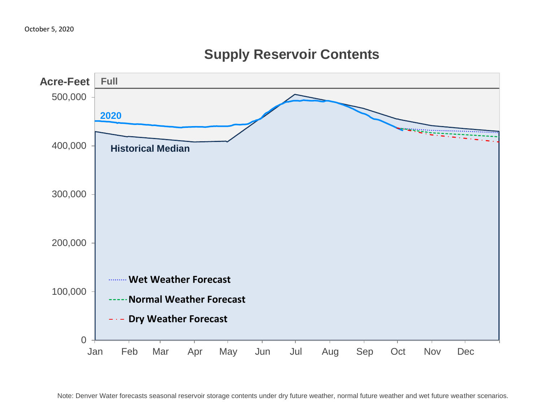

### **Supply Reservoir Contents**

Note: Denver Water forecasts seasonal reservoir storage contents under dry future weather, normal future weather and wet future weather scenarios.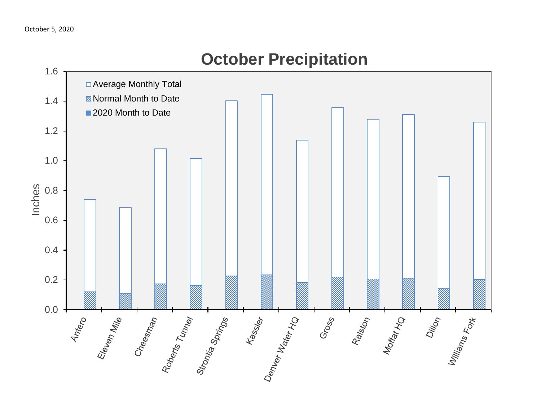

# **October Precipitation**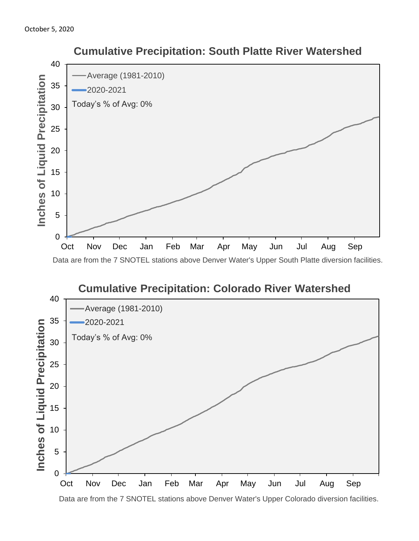



 **Cumulative Precipitation: South Platte River Watershed**

Data are from the 7 SNOTEL stations above Denver Water's Upper Colorado diversion facilities.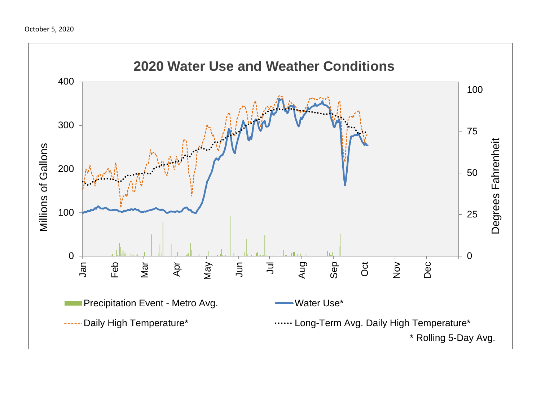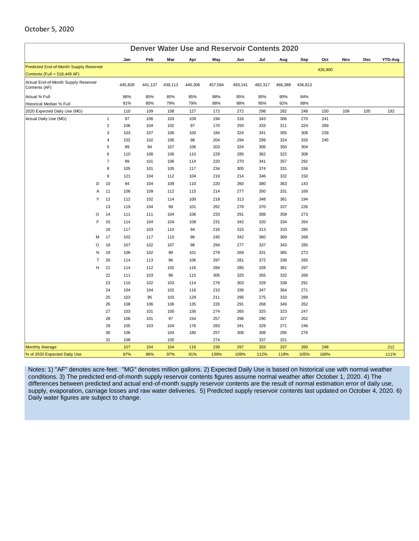| <b>Denver Water Use and Reservoir Contents 2020</b>   |   |                |         |         |         |         |         |         |         |         |         |         |     |     |         |
|-------------------------------------------------------|---|----------------|---------|---------|---------|---------|---------|---------|---------|---------|---------|---------|-----|-----|---------|
|                                                       |   |                | Jan     | Feb     | Mar     | Apr     | May     | Jun     | Jul     | Aug     | Sep     | Oct     | Nov | Dec | YTD-Avg |
| Predicted End-of-Month Supply Reservoir               |   |                |         |         |         |         |         |         |         |         |         | 426,900 |     |     |         |
| Contents (Full = 518,449 AF)                          |   |                |         |         |         |         |         |         |         |         |         |         |     |     |         |
| Actual End-of-Month Supply Reservoir<br>Contents (AF) |   |                | 445,828 | 441,137 | 439,113 | 440,306 | 457,594 | 493,141 | 492,317 | 466,389 | 436,813 |         |     |     |         |
| Actual % Full                                         |   |                | 86%     | 85%     | 85%     | 85%     | 88%     | 95%     | 95%     | 90%     | 84%     |         |     |     |         |
| Historical Median % Full                              |   |                | 81%     | 80%     | 79%     | 79%     | 88%     | 98%     | 95%     | 92%     | 88%     |         |     |     |         |
| 2020 Expected Daily Use (MG)                          |   |                | 110     | 109     | 108     | 127     | 172     | 272     | 298     | 282     | 248     | 150     | 109 | 105 | 192     |
| Actual Daily Use (MG)                                 |   | $\mathbf{1}$   | 97      | 106     | 103     | 109     | 194     | 316     | 343     | 306     | 270     | 241     |     |     |         |
|                                                       |   | $\overline{2}$ | 106     | 104     | 102     | 97      | 170     | 293     | 333     | 311     | 324     | 269     |     |     |         |
|                                                       |   | 3              | 103     | 107     | 106     | 100     | 184     | 324     | 341     | 355     | 308     | 239     |     |     |         |
|                                                       |   | 4              | 102     | 102     | 106     | 98      | 204     | 294     | 299     | 324     | 326     | 245     |     |     |         |
|                                                       |   | 5              | 99      | 94      | 107     | 106     | 203     | 324     | 306     | 350     | 304     |         |     |     |         |
|                                                       |   | 6              | 110     | 108     | 106     | 110     | 229     | 285     | 362     | 322     | 308     |         |     |     |         |
|                                                       |   | $\overline{7}$ | 99      | 101     | 106     | 114     | 220     | 270     | 341     | 357     | 292     |         |     |     |         |
|                                                       |   | 8              | 105     | 101     | 105     | 117     | 234     | 305     | 374     | 331     | 156     |         |     |     |         |
|                                                       |   | 9              | 121     | 104     | 112     | 104     | 219     | 214     | 346     | 332     | 150     |         |     |     |         |
|                                                       | D | 10             | 94      | 104     | 109     | 110     | 220     | 260     | 380     | 363     | 143     |         |     |     |         |
|                                                       | Α | 11             | 106     | 109     | 112     | 115     | 214     | 277     | 350     | 331     | 169     |         |     |     |         |
|                                                       | Υ | 12             | 112     | 102     | 114     | 100     | 218     | 313     | 348     | 361     | 194     |         |     |     |         |
|                                                       |   | 13             | 119     | 104     | 99      | 101     | 262     | 278     | 370     | 337     | 226     |         |     |     |         |
|                                                       | O | 14             | 111     | 111     | 104     | 106     | 233     | 291     | 308     | 359     | 273     |         |     |     |         |
|                                                       | F | 15             | 114     | 104     | 104     | 108     | 231     | 342     | 320     | 334     | 264     |         |     |     |         |
|                                                       |   | 16             | 117     | 103     | 110     | 94      | 216     | 315     | 313     | 333     | 285     |         |     |     |         |
|                                                       | м | 17             | 102     | 117     | 110     | 96      | 245     | 342     | 360     | 369     | 268     |         |     |     |         |
|                                                       | O | 18             | 107     | 102     | 107     | 96      | 294     | 277     | 337     | 343     | 285     |         |     |     |         |
|                                                       | N | 19             | 106     | 102     | 99      | 101     | 279     | 269     | 331     | 365     | 273     |         |     |     |         |
|                                                       | T | 20             | 114     | 113     | 96      | 106     | 297     | 281     | 372     | 338     | 265     |         |     |     |         |
|                                                       | н | 21             | 114     | 112     | 102     | 116     | 284     | 285     | 328     | 361     | 297     |         |     |     |         |
|                                                       |   | 22             | 111     | 103     | 96      | 115     | 305     | 325     | 355     | 332     | 266     |         |     |     |         |
|                                                       |   | 23             | 110     | 102     | 103     | 114     | 276     | 303     | 328     | 338     | 291     |         |     |     |         |
|                                                       |   | 24             | 104     | 104     | 102     | 116     | 210     | 336     | 347     | 364     | 271     |         |     |     |         |
|                                                       |   | 25             | 103     | 95      | 103     | 129     | 211     | 295     | 275     | 333     | 289     |         |     |     |         |
|                                                       |   | 26             | 108     | 106     | 106     | 135     | 226     | 291     | 268     | 349     | 262     |         |     |     |         |
|                                                       |   | 27             | 103     | 101     | 100     | 156     | 274     | 265     | 325     | 323     | 247     |         |     |     |         |
|                                                       |   | 28             | 106     | 101     | 97      | 154     | 257     | 296     | 290     | 327     | 262     |         |     |     |         |
|                                                       |   | 29             | 105     | 103     | 104     | 176     | 283     | 341     | 329     | 271     | 246     |         |     |     |         |
|                                                       |   | 30             | 106     |         | 104     | 180     | 257     | 308     | 308     | 295     | 276     |         |     |     |         |
|                                                       |   | 31             | 108     |         | 100     |         | 274     |         | 337     | 321     |         |         |     |     |         |
| <b>Monthly Average</b>                                |   |                | 107     | 104     | 104     | 116     | 239     | 297     | 333     | 337     | 260     | 248     |     |     | 212     |
| % of 2020 Expected Daily Use                          |   |                | 97%     | 96%     | 97%     | 91%     | 139%    | 109%    | 112%    | 119%    | 105%    | 166%    |     |     | 111%    |

October 5, 2020

Notes: 1) "AF" denotes acre-feet. "MG" denotes million gallons. 2) Expected Daily Use is based on historical use with normal weather conditions. 3) The predicted end-of-month supply reservoir contents figures assume normal weather after October 1, 2020. 4) The differences between predicted and actual end-of-month supply reservoir contents are the result of normal estimation error of daily use, supply, evaporation, carriage losses and raw water deliveries. 5) Predicted supply reservoir contents last updated on October 4, 2020. 6) Daily water figures are subject to change.